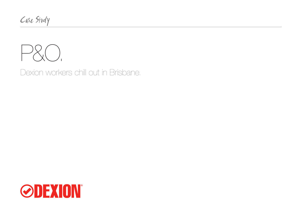

Dexion workers chill out in Brisbane.

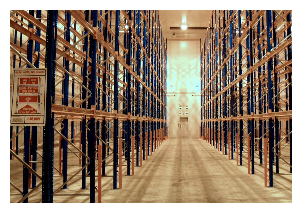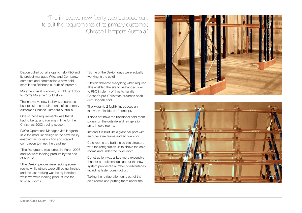"The innovative new facility was purpose built to suit the requirements of its primary customer, Chrisco Hampers Australia."

Dexion pulled out all stops to help P&O and its project manager, Wiley and Company, complete and commission a new cold store in the Brisbane suburb of Murarrie.

Murarrie 2, as it is known, is right next door to P&O's Murarrie 1 cold store.

The innovative new facility was purpose built to suit the requirements of its primary customer, Chrisco Hampers Australia.

One of these requirements was that it had to be up and running in time for the Christmas 2003 trading season.

P&O's Operations Manager, Jeff Hogarth, said the modular design of the new facility enabled fast construction and staged completion to meet the deadline.

"The first ground was turned in March 2003 and we were loading product by the end of August.

"The Dexion people were racking some rooms while others were still being finished and the last racking was being installed while we were loading product into the finished rooms.

"Some of the Dexion guys were actually working in the cold!

"Dexion delivered everything when required. This enabled the site to be handed over to P&O in plenty of time to handle Chrisco's pre-Christmas business peak." Jeff Hogarth said.

The Murarrie 2 facility introduces an innovative "inside-out" concept.

It does not have the traditional cold room panels on the outside and refrigeration units in cold rooms.

Instead it is built like a giant car port with an outer steel frame and an over-roof.

Cold rooms are built inside this structure with the refrigeration units above the cold rooms and under the "over-roof".

Construction was a little more expensive than for a traditional design but the new system provided a number of advantages including faster construction.

Taking the refrigeration units out of the cold rooms and putting them under the